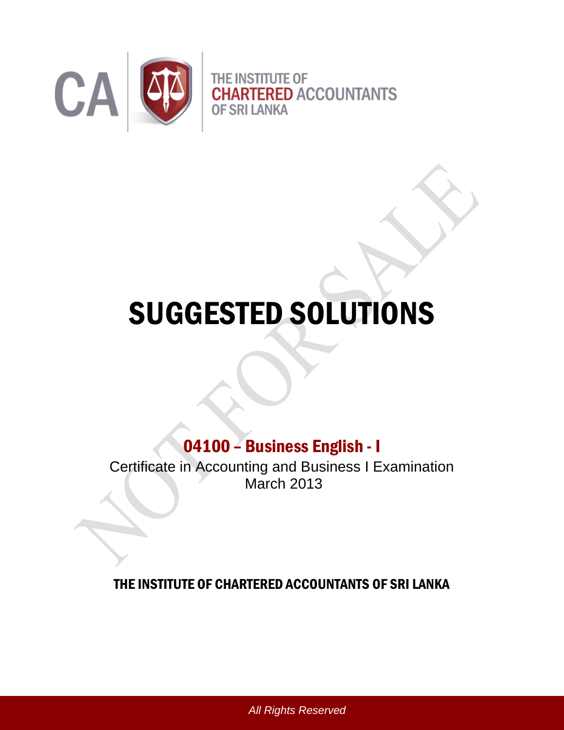

## SUGGESTED SOLUTIONS

## 04100 – Business English - I

Certificate in Accounting and Business I Examination March 2013

## THE INSTITUTE OF CHARTERED ACCOUNTANTS OF SRI LANKA

*All Rights Reserved*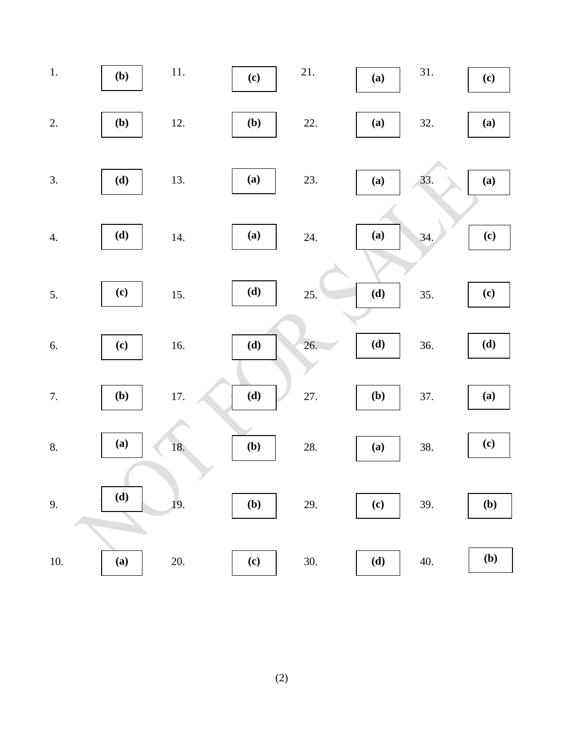

(2)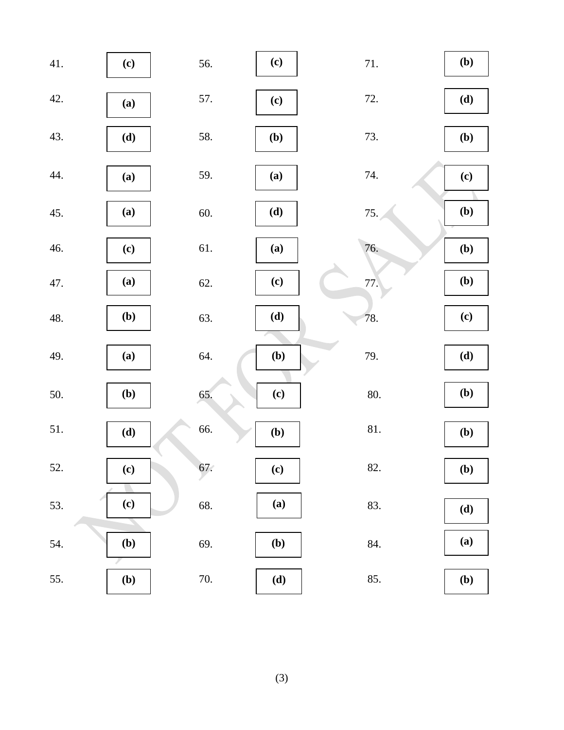| 41. | (c)                        | 56.   | (c)                        | 71. | (b) |
|-----|----------------------------|-------|----------------------------|-----|-----|
| 42. | (a)                        | 57.   | (c)                        | 72. | (d) |
| 43. | (d)                        | 58.   | (b)                        | 73. | (b) |
| 44. | (a)                        | 59.   | (a)                        | 74. | (c) |
| 45. | (a)                        | 60.   | (d)                        | 75. | (b) |
| 46. | (c)                        | 61.   | (a)                        | 76. | (b) |
| 47. | (a)                        | 62.   | (c)                        | 77. | (b) |
| 48. | (b)                        | 63.   | (d)                        | 78. | (c) |
| 49. | (a)                        | 64.   | (b)                        | 79. | (d) |
| 50. | (b)                        | 65.   | (c)                        | 80. | (b) |
| 51. | (d)                        | 66.   | (b)                        | 81. | (b) |
| 52. | $\left( \mathbf{c}\right)$ | 67.   | $\left( \mathbf{c}\right)$ | 82. | (b) |
| 53. | (c)                        | 68.   | (a)                        | 83. | (d) |
| 54. | (b)                        | 69.   | (b)                        | 84. | (a) |
| 55. | ( <b>b</b> )               | $70.$ | (d)                        | 85. | (b) |